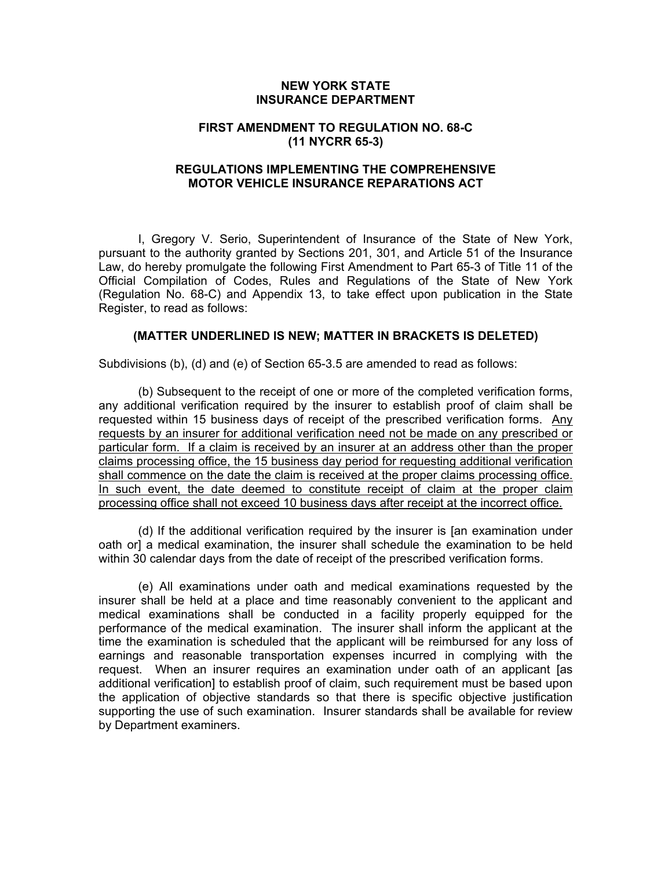# **NEW YORK STATE INSURANCE DEPARTMENT**

# **FIRST AMENDMENT TO REGULATION NO. 68-C (11 NYCRR 65-3)**

# **REGULATIONS IMPLEMENTING THE COMPREHENSIVE MOTOR VEHICLE INSURANCE REPARATIONS ACT**

I, Gregory V. Serio, Superintendent of Insurance of the State of New York, pursuant to the authority granted by Sections 201, 301, and Article 51 of the Insurance Law, do hereby promulgate the following First Amendment to Part 65-3 of Title 11 of the Official Compilation of Codes, Rules and Regulations of the State of New York (Regulation No. 68-C) and Appendix 13, to take effect upon publication in the State Register, to read as follows:

## **(MATTER UNDERLINED IS NEW; MATTER IN BRACKETS IS DELETED)**

Subdivisions (b), (d) and (e) of Section 65-3.5 are amended to read as follows:

(b) Subsequent to the receipt of one or more of the completed verification forms, any additional verification required by the insurer to establish proof of claim shall be requested within 15 business days of receipt of the prescribed verification forms. Any requests by an insurer for additional verification need not be made on any prescribed or particular form. If a claim is received by an insurer at an address other than the proper claims processing office, the 15 business day period for requesting additional verification shall commence on the date the claim is received at the proper claims processing office. In such event, the date deemed to constitute receipt of claim at the proper claim processing office shall not exceed 10 business days after receipt at the incorrect office.

(d) If the additional verification required by the insurer is [an examination under oath or] a medical examination, the insurer shall schedule the examination to be held within 30 calendar days from the date of receipt of the prescribed verification forms.

(e) All examinations under oath and medical examinations requested by the insurer shall be held at a place and time reasonably convenient to the applicant and medical examinations shall be conducted in a facility properly equipped for the performance of the medical examination. The insurer shall inform the applicant at the time the examination is scheduled that the applicant will be reimbursed for any loss of earnings and reasonable transportation expenses incurred in complying with the request. When an insurer requires an examination under oath of an applicant [as additional verification] to establish proof of claim, such requirement must be based upon the application of objective standards so that there is specific objective justification supporting the use of such examination. Insurer standards shall be available for review by Department examiners.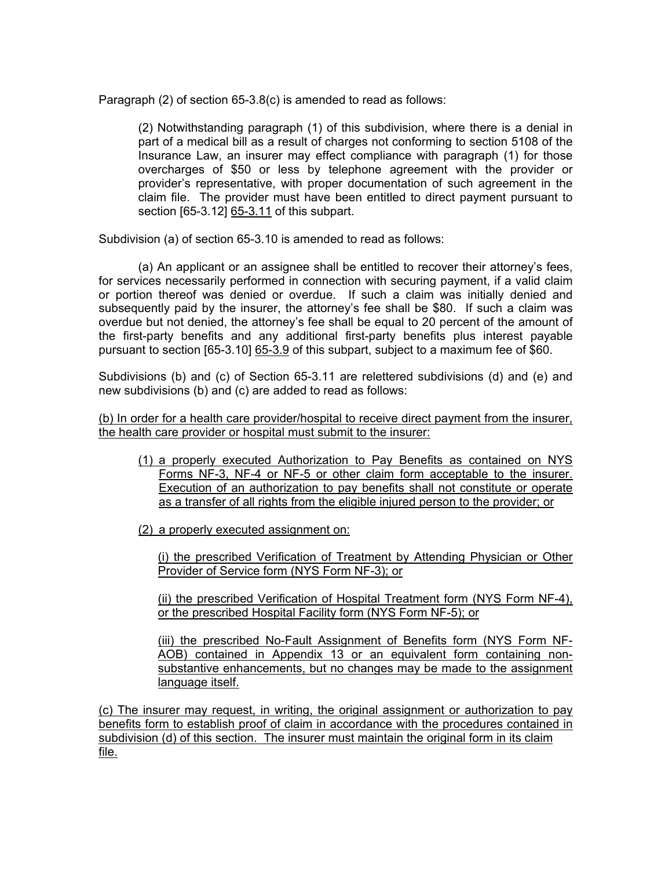Paragraph (2) of section 65-3.8(c) is amended to read as follows:

(2) Notwithstanding paragraph (1) of this subdivision, where there is a denial in part of a medical bill as a result of charges not conforming to section 5108 of the Insurance Law, an insurer may effect compliance with paragraph (1) for those overcharges of \$50 or less by telephone agreement with the provider or provider's representative, with proper documentation of such agreement in the claim file. The provider must have been entitled to direct payment pursuant to section [65-3.12] 65-3.11 of this subpart.

Subdivision (a) of section 65-3.10 is amended to read as follows:

(a) An applicant or an assignee shall be entitled to recover their attorney's fees, for services necessarily performed in connection with securing payment, if a valid claim or portion thereof was denied or overdue. If such a claim was initially denied and subsequently paid by the insurer, the attorney's fee shall be \$80. If such a claim was overdue but not denied, the attorney's fee shall be equal to 20 percent of the amount of the first-party benefits and any additional first-party benefits plus interest payable pursuant to section [65-3.10] 65-3.9 of this subpart, subject to a maximum fee of \$60.

Subdivisions (b) and (c) of Section 65-3.11 are relettered subdivisions (d) and (e) and new subdivisions (b) and (c) are added to read as follows:

(b) In order for a health care provider/hospital to receive direct payment from the insurer, the health care provider or hospital must submit to the insurer:

- (1) a properly executed Authorization to Pay Benefits as contained on NYS Forms NF-3, NF-4 or NF-5 or other claim form acceptable to the insurer. Execution of an authorization to pay benefits shall not constitute or operate as a transfer of all rights from the eligible injured person to the provider; or
- (2) a properly executed assignment on:

(i) the prescribed Verification of Treatment by Attending Physician or Other Provider of Service form (NYS Form NF-3); or

(ii) the prescribed Verification of Hospital Treatment form (NYS Form NF-4), or the prescribed Hospital Facility form (NYS Form NF-5); or

(iii) the prescribed No-Fault Assignment of Benefits form (NYS Form NF-AOB) contained in Appendix 13 or an equivalent form containing nonsubstantive enhancements, but no changes may be made to the assignment language itself.

(c) The insurer may request, in writing, the original assignment or authorization to pay benefits form to establish proof of claim in accordance with the procedures contained in subdivision (d) of this section. The insurer must maintain the original form in its claim file.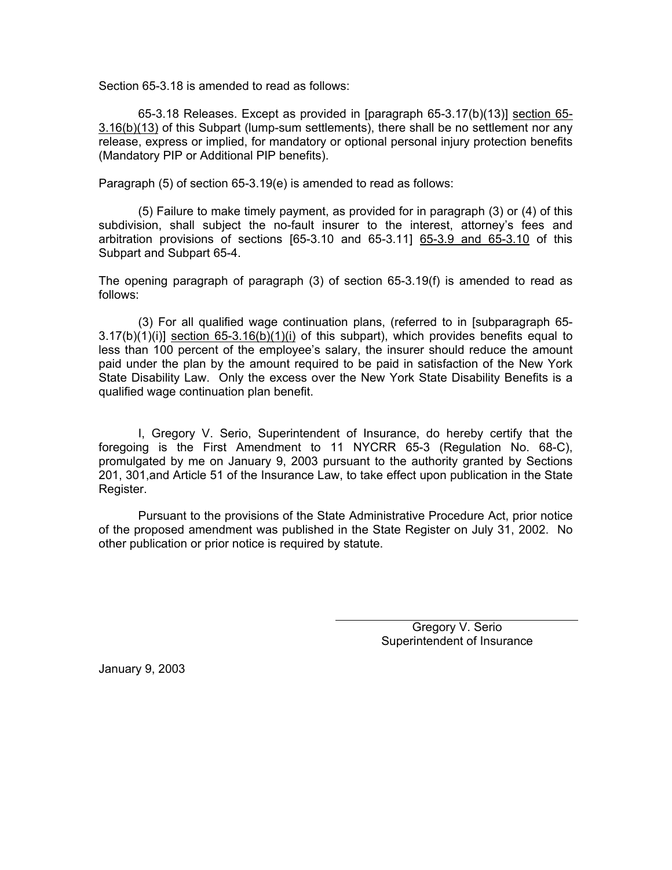Section 65-3.18 is amended to read as follows:

65-3.18 Releases. Except as provided in [paragraph 65-3.17(b)(13)] section 65- 3.16(b)(13) of this Subpart (lump-sum settlements), there shall be no settlement nor any release, express or implied, for mandatory or optional personal injury protection benefits (Mandatory PIP or Additional PIP benefits).

Paragraph (5) of section 65-3.19(e) is amended to read as follows:

(5) Failure to make timely payment, as provided for in paragraph (3) or (4) of this subdivision, shall subject the no-fault insurer to the interest, attorney's fees and arbitration provisions of sections [65-3.10 and 65-3.11] 65-3.9 and 65-3.10 of this Subpart and Subpart 65-4.

The opening paragraph of paragraph (3) of section 65-3.19(f) is amended to read as follows:

(3) For all qualified wage continuation plans, (referred to in [subparagraph 65-  $3.17(b)(1)(i)$ ] section  $65-3.16(b)(1)(i)$  of this subpart), which provides benefits equal to less than 100 percent of the employee's salary, the insurer should reduce the amount paid under the plan by the amount required to be paid in satisfaction of the New York State Disability Law. Only the excess over the New York State Disability Benefits is a qualified wage continuation plan benefit.

I, Gregory V. Serio, Superintendent of Insurance, do hereby certify that the foregoing is the First Amendment to 11 NYCRR 65-3 (Regulation No. 68-C), promulgated by me on January 9, 2003 pursuant to the authority granted by Sections 201, 301,and Article 51 of the Insurance Law, to take effect upon publication in the State Register.

Pursuant to the provisions of the State Administrative Procedure Act, prior notice of the proposed amendment was published in the State Register on July 31, 2002. No other publication or prior notice is required by statute.

> Gregory V. Serio Superintendent of Insurance

January 9, 2003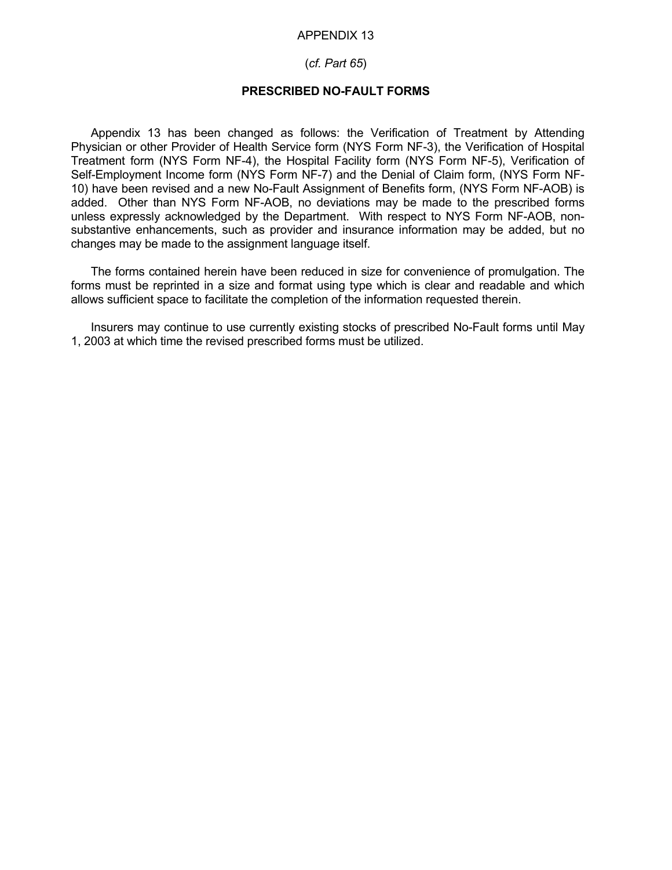## APPENDIX 13

## (*cf. Part 65*)

## **PRESCRIBED NO-FAULT FORMS**

Appendix 13 has been changed as follows: the Verification of Treatment by Attending Physician or other Provider of Health Service form (NYS Form NF-3), the Verification of Hospital Treatment form (NYS Form NF-4), the Hospital Facility form (NYS Form NF-5), Verification of Self-Employment Income form (NYS Form NF-7) and the Denial of Claim form, (NYS Form NF-10) have been revised and a new No-Fault Assignment of Benefits form, (NYS Form NF-AOB) is added. Other than NYS Form NF-AOB, no deviations may be made to the prescribed forms unless expressly acknowledged by the Department. With respect to NYS Form NF-AOB, nonsubstantive enhancements, such as provider and insurance information may be added, but no changes may be made to the assignment language itself.

 forms must be reprinted in a size and format using type which is clear and readable and which The forms contained herein have been reduced in size for convenience of promulgation. The allows sufficient space to facilitate the completion of the information requested therein.

Insurers may continue to use currently existing stocks of prescribed No-Fault forms until May 1, 2003 at which time the revised prescribed forms must be utilized.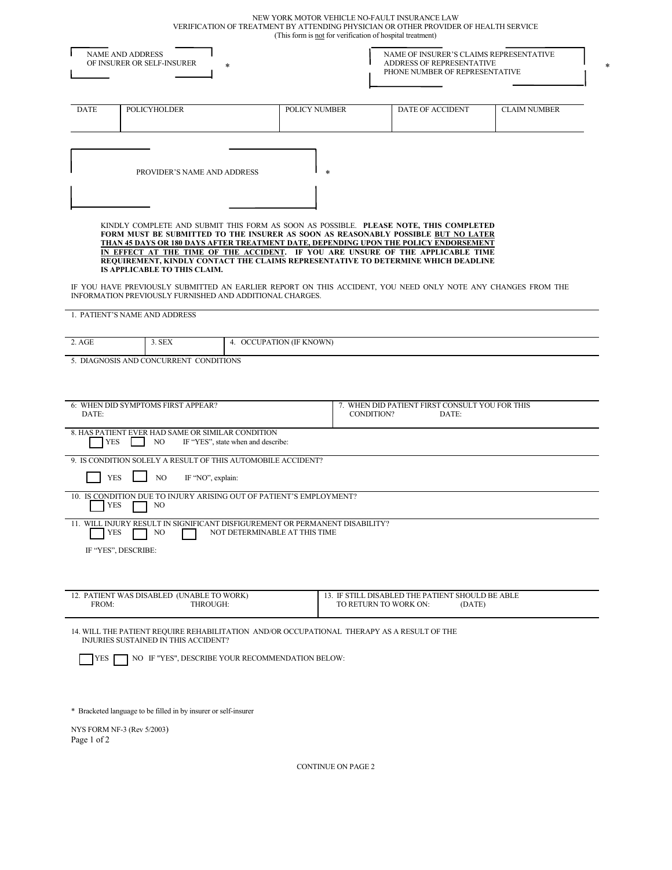NEW YORK MOTOR VEHICLE NO-FAULT INSURANCE LAW VERIFICATION OF TREATMENT BY ATTENDING PHYSICIAN OR OTHER PROVIDER OF HEALTH SERVICE (This form is not for verification of hospital treatment)

|                                                                                                             | <b>NAME AND ADDRESS</b><br>OF INSURER OR SELF-INSURER   | $\ast$                                                                                                                                                                                                                                                                                                                                                                                                                                                                                                                                                                                                                 |  | NAME OF INSURER'S CLAIMS REPRESENTATIVE<br>ADDRESS OF REPRESENTATIVE<br>PHONE NUMBER OF REPRESENTATIVE |                     |  |  |
|-------------------------------------------------------------------------------------------------------------|---------------------------------------------------------|------------------------------------------------------------------------------------------------------------------------------------------------------------------------------------------------------------------------------------------------------------------------------------------------------------------------------------------------------------------------------------------------------------------------------------------------------------------------------------------------------------------------------------------------------------------------------------------------------------------------|--|--------------------------------------------------------------------------------------------------------|---------------------|--|--|
| <b>DATE</b>                                                                                                 | <b>POLICYHOLDER</b>                                     | <b>POLICY NUMBER</b>                                                                                                                                                                                                                                                                                                                                                                                                                                                                                                                                                                                                   |  | <b>DATE OF ACCIDENT</b>                                                                                | <b>CLAIM NUMBER</b> |  |  |
|                                                                                                             | PROVIDER'S NAME AND ADDRESS                             |                                                                                                                                                                                                                                                                                                                                                                                                                                                                                                                                                                                                                        |  |                                                                                                        |                     |  |  |
|                                                                                                             | IS APPLICABLE TO THIS CLAIM.                            | KINDLY COMPLETE AND SUBMIT THIS FORM AS SOON AS POSSIBLE. PLEASE NOTE, THIS COMPLETED<br>FORM MUST BE SUBMITTED TO THE INSURER AS SOON AS REASONABLY POSSIBLE BUT NO LATER<br>THAN 45 DAYS OR 180 DAYS AFTER TREATMENT DATE, DEPENDING UPON THE POLICY ENDORSEMENT<br>IN EFFECT AT THE TIME OF THE ACCIDENT. IF YOU ARE UNSURE OF THE APPLICABLE TIME<br>REQUIREMENT, KINDLY CONTACT THE CLAIMS REPRESENTATIVE TO DETERMINE WHICH DEADLINE<br>IF YOU HAVE PREVIOUSLY SUBMITTED AN EARLIER REPORT ON THIS ACCIDENT, YOU NEED ONLY NOTE ANY CHANGES FROM THE<br>INFORMATION PREVIOUSLY FURNISHED AND ADDITIONAL CHARGES. |  |                                                                                                        |                     |  |  |
|                                                                                                             | 1. PATIENT'S NAME AND ADDRESS                           |                                                                                                                                                                                                                                                                                                                                                                                                                                                                                                                                                                                                                        |  |                                                                                                        |                     |  |  |
| 2. AGE                                                                                                      | 3. SEX                                                  | 4. OCCUPATION (IF KNOWN)                                                                                                                                                                                                                                                                                                                                                                                                                                                                                                                                                                                               |  |                                                                                                        |                     |  |  |
|                                                                                                             | 5. DIAGNOSIS AND CONCURRENT CONDITIONS                  |                                                                                                                                                                                                                                                                                                                                                                                                                                                                                                                                                                                                                        |  |                                                                                                        |                     |  |  |
| 6: WHEN DID SYMPTOMS FIRST APPEAR?<br>7. WHEN DID PATIENT FIRST CONSULT YOU FOR THIS<br>CONDITION?<br>DATE: |                                                         |                                                                                                                                                                                                                                                                                                                                                                                                                                                                                                                                                                                                                        |  |                                                                                                        |                     |  |  |
| <b>YES</b>                                                                                                  | 8. HAS PATIENT EVER HAD SAME OR SIMILAR CONDITION<br>NO | IF "YES", state when and describe:                                                                                                                                                                                                                                                                                                                                                                                                                                                                                                                                                                                     |  |                                                                                                        |                     |  |  |
|                                                                                                             |                                                         | 9. IS CONDITION SOLELY A RESULT OF THIS AUTOMOBILE ACCIDENT?                                                                                                                                                                                                                                                                                                                                                                                                                                                                                                                                                           |  |                                                                                                        |                     |  |  |
| <b>YES</b>                                                                                                  | NO<br>IF "NO", explain:                                 |                                                                                                                                                                                                                                                                                                                                                                                                                                                                                                                                                                                                                        |  |                                                                                                        |                     |  |  |
| YES                                                                                                         | NO                                                      | 10. IS CONDITION DUE TO INJURY ARISING OUT OF PATIENT'S EMPLOYMENT?                                                                                                                                                                                                                                                                                                                                                                                                                                                                                                                                                    |  |                                                                                                        |                     |  |  |
|                                                                                                             | <b>YES</b><br>NO.                                       | 11. WILL INJURY RESULT IN SIGNIFICANT DISFIGUREMENT OR PERMANENT DISABILITY?<br>NOT DETERMINABLE AT THIS TIME                                                                                                                                                                                                                                                                                                                                                                                                                                                                                                          |  |                                                                                                        |                     |  |  |

| . PATIENT WAS DISABLED (UNABLE TO WORK) |          | 13. IF STILL DISABLED THE PATIENT SHOULD BE ABLE |
|-----------------------------------------|----------|--------------------------------------------------|
| FROM:                                   | THROUGH: | TO RETURN TO WORK ON:<br><b>(DATE)</b>           |
|                                         |          |                                                  |

14. WILL THE PATIENT REQUIRE REHABILITATION AND/OR OCCUPATIONAL THERAPY AS A RESULT OF THE INJURIES SUSTAINED IN THIS ACCIDENT?

YES NO IF "YES", DESCRIBE YOUR RECOMMENDATION BELOW:

\* Bracketed language to be filled in by insurer or self-insurer

NYS FORM NF-3 (Rev 5/2003) Page 1 of 2

CONTINUE ON PAGE 2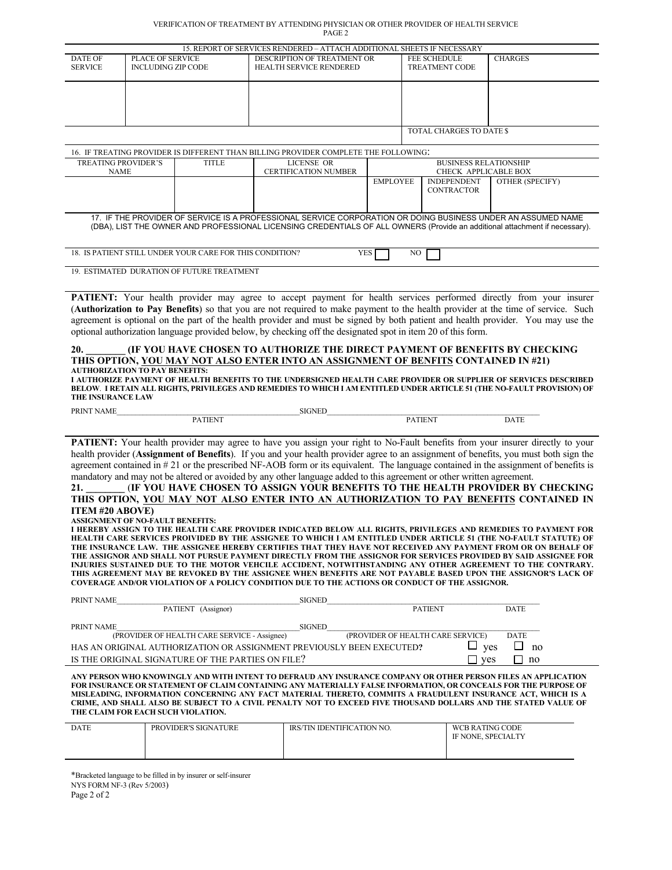| VERIFICATION OF TREATMENT BY ATTENDING PHYSICIAN OR OTHER PROVIDER OF HEALTH SERVICE |
|--------------------------------------------------------------------------------------|
| PAGE <sub>2</sub>                                                                    |

| 15. REPORT OF SERVICES RENDERED - ATTACH ADDITIONAL SHEETS IF NECESSARY |                                                      |                                                          |  |                                                                                                                                                                                                            |                 |                                                                                                                                                                                                                                                                                                                                                                                                                                                                                                                                                                                                                                                                                                                                                                                                                                                                                                                                                                                                                                                                                                                                                                                                                                                                                                                                                                                                                                                                                                                                                                                                          |                                         |                                                                                                                                                                                                                                                                                                                                                                                                                                                                                                                                                                                                                                                                                                                          |  |  |  |  |  |
|-------------------------------------------------------------------------|------------------------------------------------------|----------------------------------------------------------|--|------------------------------------------------------------------------------------------------------------------------------------------------------------------------------------------------------------|-----------------|----------------------------------------------------------------------------------------------------------------------------------------------------------------------------------------------------------------------------------------------------------------------------------------------------------------------------------------------------------------------------------------------------------------------------------------------------------------------------------------------------------------------------------------------------------------------------------------------------------------------------------------------------------------------------------------------------------------------------------------------------------------------------------------------------------------------------------------------------------------------------------------------------------------------------------------------------------------------------------------------------------------------------------------------------------------------------------------------------------------------------------------------------------------------------------------------------------------------------------------------------------------------------------------------------------------------------------------------------------------------------------------------------------------------------------------------------------------------------------------------------------------------------------------------------------------------------------------------------------|-----------------------------------------|--------------------------------------------------------------------------------------------------------------------------------------------------------------------------------------------------------------------------------------------------------------------------------------------------------------------------------------------------------------------------------------------------------------------------------------------------------------------------------------------------------------------------------------------------------------------------------------------------------------------------------------------------------------------------------------------------------------------------|--|--|--|--|--|
| DATE OF<br><b>SERVICE</b>                                               | <b>PLACE OF SERVICE</b><br><b>INCLUDING ZIP CODE</b> |                                                          |  | DESCRIPTION OF TREATMENT OR<br>HEALTH SERVICE RENDERED                                                                                                                                                     |                 | FEE SCHEDULE<br><b>TREATMENT CODE</b>                                                                                                                                                                                                                                                                                                                                                                                                                                                                                                                                                                                                                                                                                                                                                                                                                                                                                                                                                                                                                                                                                                                                                                                                                                                                                                                                                                                                                                                                                                                                                                    |                                         | <b>CHARGES</b>                                                                                                                                                                                                                                                                                                                                                                                                                                                                                                                                                                                                                                                                                                           |  |  |  |  |  |
|                                                                         |                                                      |                                                          |  |                                                                                                                                                                                                            |                 |                                                                                                                                                                                                                                                                                                                                                                                                                                                                                                                                                                                                                                                                                                                                                                                                                                                                                                                                                                                                                                                                                                                                                                                                                                                                                                                                                                                                                                                                                                                                                                                                          |                                         |                                                                                                                                                                                                                                                                                                                                                                                                                                                                                                                                                                                                                                                                                                                          |  |  |  |  |  |
|                                                                         |                                                      |                                                          |  |                                                                                                                                                                                                            |                 |                                                                                                                                                                                                                                                                                                                                                                                                                                                                                                                                                                                                                                                                                                                                                                                                                                                                                                                                                                                                                                                                                                                                                                                                                                                                                                                                                                                                                                                                                                                                                                                                          | TOTAL CHARGES TO DATE \$                |                                                                                                                                                                                                                                                                                                                                                                                                                                                                                                                                                                                                                                                                                                                          |  |  |  |  |  |
|                                                                         |                                                      |                                                          |  | 16. IF TREATING PROVIDER IS DIFFERENT THAN BILLING PROVIDER COMPLETE THE FOLLOWING.                                                                                                                        |                 |                                                                                                                                                                                                                                                                                                                                                                                                                                                                                                                                                                                                                                                                                                                                                                                                                                                                                                                                                                                                                                                                                                                                                                                                                                                                                                                                                                                                                                                                                                                                                                                                          |                                         |                                                                                                                                                                                                                                                                                                                                                                                                                                                                                                                                                                                                                                                                                                                          |  |  |  |  |  |
| <b>TREATING PROVIDER'S</b>                                              |                                                      | <b>TITLE</b>                                             |  | <b>LICENSE OR</b>                                                                                                                                                                                          |                 |                                                                                                                                                                                                                                                                                                                                                                                                                                                                                                                                                                                                                                                                                                                                                                                                                                                                                                                                                                                                                                                                                                                                                                                                                                                                                                                                                                                                                                                                                                                                                                                                          | <b>BUSINESS RELATIONSHIP</b>            |                                                                                                                                                                                                                                                                                                                                                                                                                                                                                                                                                                                                                                                                                                                          |  |  |  |  |  |
| <b>NAME</b>                                                             |                                                      |                                                          |  | <b>CERTIFICATION NUMBER</b>                                                                                                                                                                                |                 |                                                                                                                                                                                                                                                                                                                                                                                                                                                                                                                                                                                                                                                                                                                                                                                                                                                                                                                                                                                                                                                                                                                                                                                                                                                                                                                                                                                                                                                                                                                                                                                                          | CHECK APPLICABLE BOX                    |                                                                                                                                                                                                                                                                                                                                                                                                                                                                                                                                                                                                                                                                                                                          |  |  |  |  |  |
|                                                                         |                                                      |                                                          |  |                                                                                                                                                                                                            | <b>EMPLOYEE</b> |                                                                                                                                                                                                                                                                                                                                                                                                                                                                                                                                                                                                                                                                                                                                                                                                                                                                                                                                                                                                                                                                                                                                                                                                                                                                                                                                                                                                                                                                                                                                                                                                          | <b>INDEPENDENT</b><br><b>CONTRACTOR</b> | OTHER (SPECIFY)                                                                                                                                                                                                                                                                                                                                                                                                                                                                                                                                                                                                                                                                                                          |  |  |  |  |  |
|                                                                         |                                                      |                                                          |  |                                                                                                                                                                                                            |                 |                                                                                                                                                                                                                                                                                                                                                                                                                                                                                                                                                                                                                                                                                                                                                                                                                                                                                                                                                                                                                                                                                                                                                                                                                                                                                                                                                                                                                                                                                                                                                                                                          |                                         | 17. IF THE PROVIDER OF SERVICE IS A PROFESSIONAL SERVICE CORPORATION OR DOING BUSINESS UNDER AN ASSUMED NAME<br>(DBA), LIST THE OWNER AND PROFESSIONAL LICENSING CREDENTIALS OF ALL OWNERS (Provide an additional attachment if necessary).                                                                                                                                                                                                                                                                                                                                                                                                                                                                              |  |  |  |  |  |
|                                                                         |                                                      | 18. IS PATIENT STILL UNDER YOUR CARE FOR THIS CONDITION? |  | YES                                                                                                                                                                                                        |                 | NO                                                                                                                                                                                                                                                                                                                                                                                                                                                                                                                                                                                                                                                                                                                                                                                                                                                                                                                                                                                                                                                                                                                                                                                                                                                                                                                                                                                                                                                                                                                                                                                                       |                                         |                                                                                                                                                                                                                                                                                                                                                                                                                                                                                                                                                                                                                                                                                                                          |  |  |  |  |  |
|                                                                         |                                                      | 19. ESTIMATED DURATION OF FUTURE TREATMENT               |  |                                                                                                                                                                                                            |                 |                                                                                                                                                                                                                                                                                                                                                                                                                                                                                                                                                                                                                                                                                                                                                                                                                                                                                                                                                                                                                                                                                                                                                                                                                                                                                                                                                                                                                                                                                                                                                                                                          |                                         |                                                                                                                                                                                                                                                                                                                                                                                                                                                                                                                                                                                                                                                                                                                          |  |  |  |  |  |
| 20.<br><b>AUTHORIZATION TO PAY BENEFITS:</b>                            |                                                      |                                                          |  | optional authorization language provided below, by checking off the designated spot in item 20 of this form.<br>THIS OPTION, <u>YOU MAY NOT ALSO ENTER INTO AN ASSIGNMENT OF BENFITS</u> CONTAINED IN #21) |                 |                                                                                                                                                                                                                                                                                                                                                                                                                                                                                                                                                                                                                                                                                                                                                                                                                                                                                                                                                                                                                                                                                                                                                                                                                                                                                                                                                                                                                                                                                                                                                                                                          |                                         | PATIENT: Your health provider may agree to accept payment for health services performed directly from your insurer<br>(Authorization to Pay Benefits) so that you are not required to make payment to the health provider at the time of service. Such<br>agreement is optional on the part of the health provider and must be signed by both patient and health provider. You may use the<br>(IF YOU HAVE CHOSEN TO AUTHORIZE THE DIRECT PAYMENT OF BENEFITS BY CHECKING<br>I AUTHORIZE PAYMENT OF HEALTH BENEFITS TO THE UNDERSIGNED HEALTH CARE PROVIDER OR SUPPLIER OF SERVICES DESCRIBED<br>BELOW. I RETAIN ALL RIGHTS, PRIVILEGES AND REMEDIES TO WHICH I AM ENTITLED UNDER ARTICLE 51 (THE NO-FAULT PROVISION) OF |  |  |  |  |  |
| THE INSURANCE LAW<br>PRINT NAME                                         |                                                      |                                                          |  | <b>SIGNED</b>                                                                                                                                                                                              |                 |                                                                                                                                                                                                                                                                                                                                                                                                                                                                                                                                                                                                                                                                                                                                                                                                                                                                                                                                                                                                                                                                                                                                                                                                                                                                                                                                                                                                                                                                                                                                                                                                          |                                         |                                                                                                                                                                                                                                                                                                                                                                                                                                                                                                                                                                                                                                                                                                                          |  |  |  |  |  |
|                                                                         |                                                      | <b>PATIENT</b>                                           |  |                                                                                                                                                                                                            |                 | <b>PATIENT</b>                                                                                                                                                                                                                                                                                                                                                                                                                                                                                                                                                                                                                                                                                                                                                                                                                                                                                                                                                                                                                                                                                                                                                                                                                                                                                                                                                                                                                                                                                                                                                                                           |                                         | <b>DATE</b>                                                                                                                                                                                                                                                                                                                                                                                                                                                                                                                                                                                                                                                                                                              |  |  |  |  |  |
|                                                                         |                                                      |                                                          |  |                                                                                                                                                                                                            |                 | PATIENT: Your health provider may agree to have you assign your right to No-Fault benefits from your insurer directly to your<br>health provider (Assignment of Benefits). If you and your health provider agree to an assignment of benefits, you must both sign the<br>agreement contained in #21 or the prescribed NF-AOB form or its equivalent. The language contained in the assignment of benefits is<br>mandatory and may not be altered or avoided by any other language added to this agreement or other written agreement.<br>(IF YOU HAVE CHOSEN TO ASSIGN YOUR BENEFITS TO THE HEALTH PROVIDER BY CHECKING<br>21.<br>THIS OPTION, YOU MAY NOT ALSO ENTER INTO AN AUTHORIZATION TO PAY BENEFITS CONTAINED IN<br><b>ITEM #20 ABOVE)</b><br><b>ASSIGNMENT OF NO-FAULT BENEFITS:</b><br>I HEREBY ASSIGN TO THE HEALTH CARE PROVIDER INDICATED BELOW ALL RIGHTS, PRIVILEGES AND REMEDIES TO PAYMENT FOR<br>HEALTH CARE SERVICES PROIVIDED BY THE ASSIGNEE TO WHICH I AM ENTITLED UNDER ARTICLE 51 (THE NO-FAULT STATUTE) OF<br>THE INSURANCE LAW. THE ASSIGNEE HEREBY CERTIFIES THAT THEY HAVE NOT RECEIVED ANY PAYMENT FROM OR ON BEHALF OF<br>THE ASSIGNOR AND SHALL NOT PURSUE PAYMENT DIRECTLY FROM THE ASSIGNOR FOR SERVICES PROVIDED BY SAID ASSIGNEE FOR<br>INJURIES SUSTAINED DUE TO THE MOTOR VEHCILE ACCIDENT, NOTWITHSTANDING ANY OTHER AGREEMENT TO THE CONTRARY.<br>THIS AGREEMENT MAY BE REVOKED BY THE ASSIGNEE WHEN BENEFITS ARE NOT PAYABLE BASED UPON THE ASSIGNOR'S LACK OF<br>COVERAGE AND/OR VIOLATION OF A POLICY CONDITION DUE TO THE ACTIONS OR CONDUCT OF THE ASSIGNOR. |                                         |                                                                                                                                                                                                                                                                                                                                                                                                                                                                                                                                                                                                                                                                                                                          |  |  |  |  |  |
|                                                                         |                                                      |                                                          |  |                                                                                                                                                                                                            |                 |                                                                                                                                                                                                                                                                                                                                                                                                                                                                                                                                                                                                                                                                                                                                                                                                                                                                                                                                                                                                                                                                                                                                                                                                                                                                                                                                                                                                                                                                                                                                                                                                          |                                         |                                                                                                                                                                                                                                                                                                                                                                                                                                                                                                                                                                                                                                                                                                                          |  |  |  |  |  |
| PRINT NAME                                                              |                                                      |                                                          |  | SIGNED                                                                                                                                                                                                     |                 |                                                                                                                                                                                                                                                                                                                                                                                                                                                                                                                                                                                                                                                                                                                                                                                                                                                                                                                                                                                                                                                                                                                                                                                                                                                                                                                                                                                                                                                                                                                                                                                                          |                                         |                                                                                                                                                                                                                                                                                                                                                                                                                                                                                                                                                                                                                                                                                                                          |  |  |  |  |  |
|                                                                         |                                                      | PATIENT (Assignor)                                       |  |                                                                                                                                                                                                            |                 | <b>PATIENT</b>                                                                                                                                                                                                                                                                                                                                                                                                                                                                                                                                                                                                                                                                                                                                                                                                                                                                                                                                                                                                                                                                                                                                                                                                                                                                                                                                                                                                                                                                                                                                                                                           |                                         | <b>DATE</b>                                                                                                                                                                                                                                                                                                                                                                                                                                                                                                                                                                                                                                                                                                              |  |  |  |  |  |
| PRINT NAME                                                              |                                                      | (PROVIDER OF HEALTH CARE SERVICE - Assignee)             |  | <b>SIGNED</b>                                                                                                                                                                                              |                 |                                                                                                                                                                                                                                                                                                                                                                                                                                                                                                                                                                                                                                                                                                                                                                                                                                                                                                                                                                                                                                                                                                                                                                                                                                                                                                                                                                                                                                                                                                                                                                                                          | (PROVIDER OF HEALTH CARE SERVICE)       | <b>DATE</b>                                                                                                                                                                                                                                                                                                                                                                                                                                                                                                                                                                                                                                                                                                              |  |  |  |  |  |
|                                                                         |                                                      |                                                          |  | HAS AN ORIGINAL AUTHORIZATION OR ASSIGNMENT PREVIOUSLY BEEN EXECUTED?                                                                                                                                      |                 |                                                                                                                                                                                                                                                                                                                                                                                                                                                                                                                                                                                                                                                                                                                                                                                                                                                                                                                                                                                                                                                                                                                                                                                                                                                                                                                                                                                                                                                                                                                                                                                                          | Ш                                       | $\Box$ no<br>yes                                                                                                                                                                                                                                                                                                                                                                                                                                                                                                                                                                                                                                                                                                         |  |  |  |  |  |
|                                                                         |                                                      | IS THE ORIGINAL SIGNATURE OF THE PARTIES ON FILE?        |  |                                                                                                                                                                                                            |                 |                                                                                                                                                                                                                                                                                                                                                                                                                                                                                                                                                                                                                                                                                                                                                                                                                                                                                                                                                                                                                                                                                                                                                                                                                                                                                                                                                                                                                                                                                                                                                                                                          | ГΙ<br>ves                               | П<br>no                                                                                                                                                                                                                                                                                                                                                                                                                                                                                                                                                                                                                                                                                                                  |  |  |  |  |  |
| THE CLAIM FOR EACH SUCH VIOLATION.<br><b>DATE</b>                       |                                                      | PROVIDER'S SIGNATURE                                     |  | IRS/TIN IDENTIFICATION NO.                                                                                                                                                                                 |                 |                                                                                                                                                                                                                                                                                                                                                                                                                                                                                                                                                                                                                                                                                                                                                                                                                                                                                                                                                                                                                                                                                                                                                                                                                                                                                                                                                                                                                                                                                                                                                                                                          | <b>WCB RATING CODE</b>                  | ANY PERSON WHO KNOWINGLY AND WITH INTENT TO DEFRAUD ANY INSURANCE COMPANY OR OTHER PERSON FILES AN APPLICATION<br>FOR INSURANCE OR STATEMENT OF CLAIM CONTAINING ANY MATERIALLY FALSE INFORMATION, OR CONCEALS FOR THE PURPOSE OF<br>MISLEADING, INFORMATION CONCERNING ANY FACT MATERIAL THERETO, COMMITS A FRAUDULENT INSURANCE ACT, WHICH IS A<br>CRIME, AND SHALL ALSO BE SUBJECT TO A CIVIL PENALTY NOT TO EXCEED FIVE THOUSAND DOLLARS AND THE STATED VALUE OF                                                                                                                                                                                                                                                     |  |  |  |  |  |

\*Bracketed language to be filled in by insurer or self-insurer NYS FORM NF-3 (Rev 5/2003) Page 2 of 2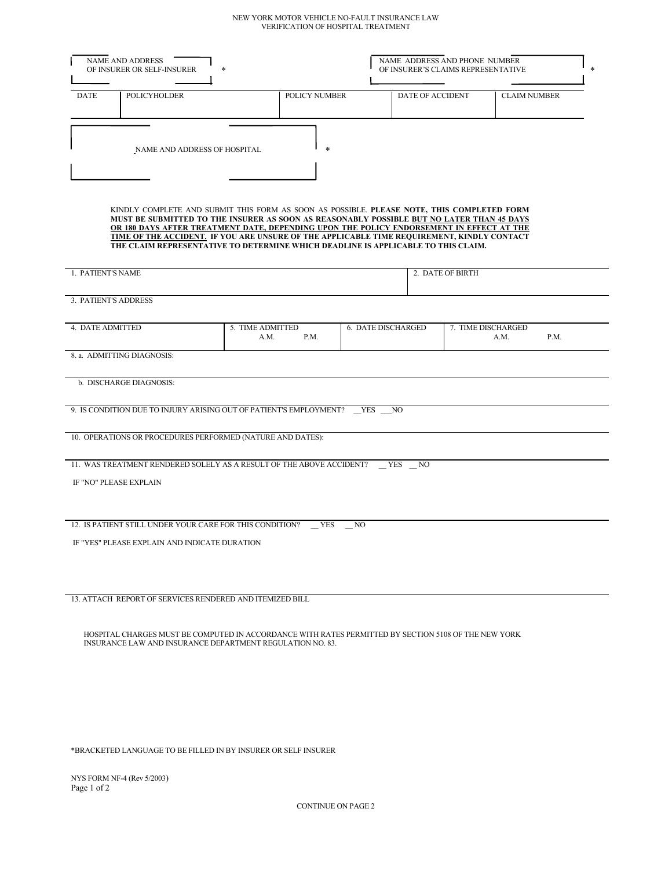#### NEW YORK MOTOR VEHICLE NO-FAULT INSURANCE LAW VERIFICATION OF HOSPITAL TREATMENT

|             | <b>NAME AND ADDRESS</b><br>OF INSURER OR SELF-INSURER<br>$\ast$ |                      | NAME ADDRESS AND PHONE NUMBER<br>OF INSURER'S CLAIMS REPRESENTATIVE | 米                   |
|-------------|-----------------------------------------------------------------|----------------------|---------------------------------------------------------------------|---------------------|
| <b>DATE</b> | <b>POLICYHOLDER</b>                                             | <b>POLICY NUMBER</b> | DATE OF ACCIDENT                                                    | <b>CLAIM NUMBER</b> |
|             | NAME AND ADDRESS OF HOSPITAL                                    | $\ast$               |                                                                     |                     |

KINDLY COMPLETE AND SUBMIT THIS FORM AS SOON AS POSSIBLE. **PLEASE NOTE, THIS COMPLETED FORM**  MUST BE SUBMITTED TO THE INSURER AS SOON AS REASONABLY POSSIBLE <u>BUT NO LATER THAN 45 DAYS</u> MUST BE SUBMITTED TO THE INSURER AS SOON AS REASONABLY POSSIBLE **BUT NO LATER THAN 45 DAYS OR 180 DAYS AFTER TREATMENT DATE, DEPENDING UPON THE POLICY ENDORSEMENT IN EFFECT AT THE TIME OF THE ACCIDENT. IF YOU ARE UNSURE OF THE APPLICABLE TIME REQUIREMENT, KINDLY CONTACT THE CLAIM REPRESENTATIVE TO DETERMINE WHICH DEADLINE IS APPLICABLE TO THIS CLAIM.** 

| --                                                                                                              | נו נ                                                                                                            |
|-----------------------------------------------------------------------------------------------------------------|-----------------------------------------------------------------------------------------------------------------|
| IJ.,                                                                                                            | 55 N                                                                                                            |
| the contract of the contract of the contract of the contract of the contract of the contract of the contract of | the contract of the contract of the contract of the contract of the contract of the contract of the contract of |
|                                                                                                                 |                                                                                                                 |

3. PATIENT'S ADDRESS

|  | <b>ADMITTED</b><br><b>DATE</b> | <b>ADMITTED</b><br><b>TIME</b><br>P.M.<br>A.M. | <b>DATE DISCHARGED</b><br>v. | <b>TIME DISCHARGED</b><br>A.M. | P.M. |
|--|--------------------------------|------------------------------------------------|------------------------------|--------------------------------|------|
|--|--------------------------------|------------------------------------------------|------------------------------|--------------------------------|------|

8. a. ADMITTING DIAGNOSIS:

b. DISCHARGE DIAGNOSIS:

9. IS CONDITION DUE TO INJURY ARISING OUT OF PATIENT'S EMPLOYMENT? \_\_YES \_\_\_NO

10. OPERATIONS OR PROCEDURES PERFORMED (NATURE AND DATES):

11. WAS TREATMENT RENDERED SOLELY AS A RESULT OF THE ABOVE ACCIDENT? \_\_ YES \_\_ NO

IF "NO" PLEASE EXPLAIN

12. IS PATIENT STILL UNDER YOUR CARE FOR THIS CONDITION? \_\_ YES \_\_ NO

IF "YES" PLEASE EXPLAIN AND INDICATE DURATION

13. ATTACH REPORT OF SERVICES RENDERED AND ITEMIZED BILL

HOSPITAL CHARGES MUST BE COMPUTED IN ACCORDANCE WITH RATES PERMITTED BY SECTION 5108 OF THE NEW YORK INSURANCE LAW AND INSURANCE DEPARTMENT REGULATION NO. 83.

\*BRACKETED LANGUAGE TO BE FILLED IN BY INSURER OR SELF INSURER

NYS FORM NF-4 (Rev 5/2003) Page 1 of 2

CONTINUE ON PAGE 2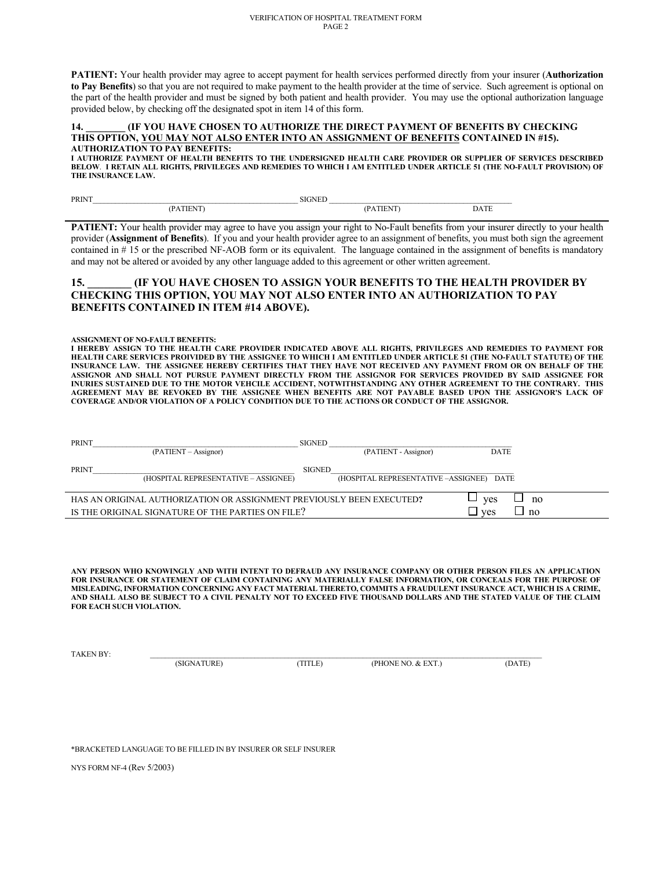#### VERIFICATION OF HOSPITAL TREATMENT FORM PAGE 2

**PATIENT:** Your health provider may agree to accept payment for health services performed directly from your insurer (**Authorization to Pay Benefits**) so that you are not required to make payment to the health provider at the time of service. Such agreement is optional on the part of the health provider and must be signed by both patient and health provider. You may use the optional authorization language provided below, by checking off the designated spot in item 14 of this form.

#### **14. \_\_\_\_\_\_\_\_ (IF YOU HAVE CHOSEN TO AUTHORIZE THE DIRECT PAYMENT OF BENEFITS BY CHECKING THIS OPTION, YOU MAY NOT ALSO ENTER INTO AN ASSIGNMENT OF BENEFITS CONTAINED IN #15). AUTHORIZATION TO PAY BENEFITS:**

**I AUTHORIZE PAYMENT OF HEALTH BENEFITS TO THE UNDERSIGNED HEALTH CARE PROVIDER OR SUPPLIER OF SERVICES DESCRIBED BELOW**. **I RETAIN ALL RIGHTS, PRIVILEGES AND REMEDIES TO WHICH I AM ENTITLED UNDER ARTICLE 51 (THE NO-FAULT PROVISION) OF THE INSURANCE LAW.** 

| PRINT | ____ |              |
|-------|------|--------------|
|       |      | $\Delta T^T$ |

**PATIENT:** Your health provider may agree to have you assign your right to No-Fault benefits from your insurer directly to your health provider (**Assignment of Benefits**). If you and your health provider agree to an assignment of benefits, you must both sign the agreement contained in # 15 or the prescribed NF-AOB form or its equivalent. The language contained in the assignment of benefits is mandatory and may not be altered or avoided by any other language added to this agreement or other written agreement.

## **15. \_\_\_\_\_\_\_\_ (IF YOU HAVE CHOSEN TO ASSIGN YOUR BENEFITS TO THE HEALTH PROVIDER BY CHECKING THIS OPTION, YOU MAY NOT ALSO ENTER INTO AN AUTHORIZATION TO PAY BENEFITS CONTAINED IN ITEM #14 ABOVE).**

**ASSIGNMENT OF NO-FAULT BENEFITS:** 

**I HEREBY ASSIGN TO THE HEALTH CARE PROVIDER INDICATED ABOVE ALL RIGHTS, PRIVILEGES AND REMEDIES TO PAYMENT FOR HEALTH CARE SERVICES PROIVIDED BY THE ASSIGNEE TO WHICH I AM ENTITLED UNDER ARTICLE 51 (THE NO-FAULT STATUTE) OF THE INSURANCE LAW. THE ASSIGNEE HEREBY CERTIFIES THAT THEY HAVE NOT RECEIVED ANY PAYMENT FROM OR ON BEHALF OF THE ASSIGNOR AND SHALL NOT PURSUE PAYMENT DIRECTLY FROM THE ASSIGNOR FOR SERVICES PROVIDED BY SAID ASSIGNEE FOR INURIES SUSTAINED DUE TO THE MOTOR VEHCILE ACCIDENT, NOTWITHSTANDING ANY OTHER AGREEMENT TO THE CONTRARY. THIS AGREEMENT MAY BE REVOKED BY THE ASSIGNEE WHEN BENEFITS ARE NOT PAYABLE BASED UPON THE ASSIGNOR'S LACK OF COVERAGE AND/OR VIOLATION OF A POLICY CONDITION DUE TO THE ACTIONS OR CONDUCT OF THE ASSIGNOR.** 

| <b>PRINT</b> |                                                                       | <b>SIGNED</b> |                                           |             |    |
|--------------|-----------------------------------------------------------------------|---------------|-------------------------------------------|-------------|----|
|              | (PATIENT – Assignor)                                                  |               | (PATIENT - Assignor)                      | <b>DATE</b> |    |
| <b>PRINT</b> |                                                                       | <b>SIGNED</b> |                                           |             |    |
|              | (HOSPITAL REPRESENTATIVE - ASSIGNEE)                                  |               | (HOSPITAL REPRESENTATIVE - ASSIGNEE) DATE |             |    |
|              |                                                                       |               |                                           |             |    |
|              | HAS AN ORIGINAL AUTHORIZATION OR ASSIGNMENT PREVIOUSLY BEEN EXECUTED? |               |                                           | yes         | no |
|              | IS THE ORIGINAL SIGNATURE OF THE PARTIES ON FILE?                     |               |                                           | ves         | no |

 **MISLEADING, INFORMATION CONCERNING ANY FACT MATERIAL THERETO, COMMITS A FRAUDULENT INSURANCE ACT, WHICH IS A CRIME, ANY PERSON WHO KNOWINGLY AND WITH INTENT TO DEFRAUD ANY INSURANCE COMPANY OR OTHER PERSON FILES AN APPLICATION FOR INSURANCE OR STATEMENT OF CLAIM CONTAINING ANY MATERIALLY FALSE INFORMATION, OR CONCEALS FOR THE PURPOSE OF AND SHALL ALSO BE SUBJECT TO A CIVIL PENALTY NOT TO EXCEED FIVE THOUSAND DOLLARS AND THE STATED VALUE OF THE CLAIM FOR EACH SUCH VIOLATION.** 

TAKEN BY:

(SIGNATURE) (TITLE) (PHONE NO. & EXT.) (DATE)

\*BRACKETED LANGUAGE TO BE FILLED IN BY INSURER OR SELF INSURER

NYS FORM NF-4 (Rev 5/2003)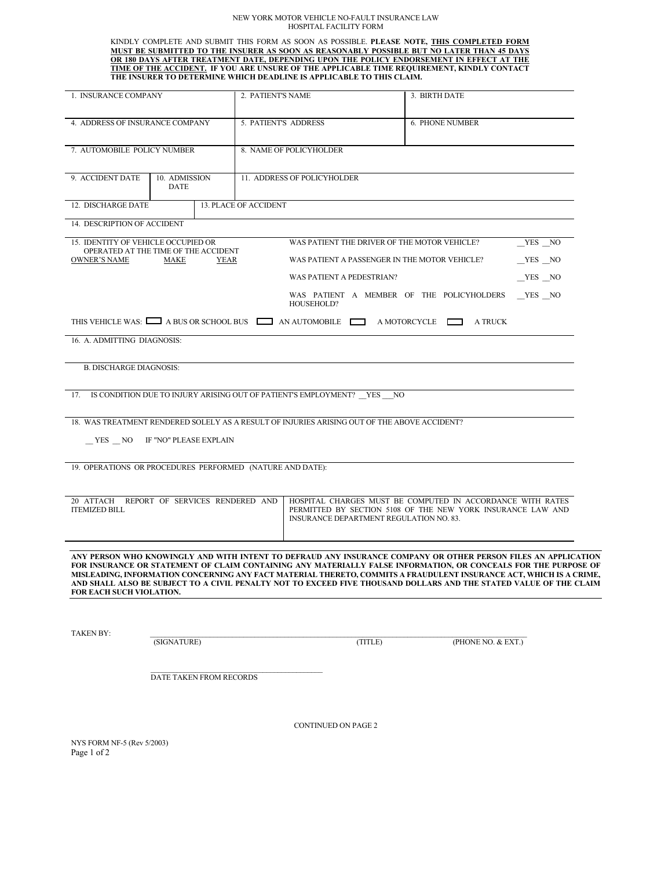#### NEW YORK MOTOR VEHICLE NO-FAULT INSURANCE LAW HOSPITAL FACILITY FORM

KINDLY COMPLETE AND SUBMIT THIS FORM AS SOON AS POSSIBLE. **PLEASE NOTE, THIS COMPLETED FORM MUST BE SUBMITTED TO THE INSURER AS SOON AS REASONABLY POSSIBLE BUT NO LATER THAN 45 DAYS OR 180 DAYS AFTER TREATMENT DATE, DEPENDING UPON THE POLICY ENDORSEMENT IN EFFECT AT THE TIME OF THE ACCIDENT. IF YOU ARE UNSURE OF THE APPLICABLE TIME REQUIREMENT, KINDLY CONTACT THE INSURER TO DETERMINE WHICH DEADLINE IS APPLICABLE TO THIS CLAIM.** 

| 1. INSURANCE COMPANY                                                       |                              | 2. PATIENT'S NAME            |                             | 3. BIRTH DATE                                                                                |                                                                                                                                                                                                                                                                                                                                                                                                                                                                                |
|----------------------------------------------------------------------------|------------------------------|------------------------------|-----------------------------|----------------------------------------------------------------------------------------------|--------------------------------------------------------------------------------------------------------------------------------------------------------------------------------------------------------------------------------------------------------------------------------------------------------------------------------------------------------------------------------------------------------------------------------------------------------------------------------|
| 4. ADDRESS OF INSURANCE COMPANY<br>5. PATIENT'S ADDRESS                    |                              |                              |                             | <b>6. PHONE NUMBER</b>                                                                       |                                                                                                                                                                                                                                                                                                                                                                                                                                                                                |
| 7. AUTOMOBILE POLICY NUMBER                                                |                              |                              | 8. NAME OF POLICYHOLDER     |                                                                                              |                                                                                                                                                                                                                                                                                                                                                                                                                                                                                |
| 9. ACCIDENT DATE                                                           | 10. ADMISSION<br><b>DATE</b> |                              | 11. ADDRESS OF POLICYHOLDER |                                                                                              |                                                                                                                                                                                                                                                                                                                                                                                                                                                                                |
| 12. DISCHARGE DATE                                                         |                              | <b>13. PLACE OF ACCIDENT</b> |                             |                                                                                              |                                                                                                                                                                                                                                                                                                                                                                                                                                                                                |
| 14. DESCRIPTION OF ACCIDENT                                                |                              |                              |                             |                                                                                              |                                                                                                                                                                                                                                                                                                                                                                                                                                                                                |
| 15. IDENTITY OF VEHICLE OCCUPIED OR                                        |                              |                              |                             | WAS PATIENT THE DRIVER OF THE MOTOR VEHICLE?                                                 | YES NO                                                                                                                                                                                                                                                                                                                                                                                                                                                                         |
| OPERATED AT THE TIME OF THE ACCIDENT<br><b>OWNER'S NAME</b>                | MAKE                         | YEAR                         |                             | WAS PATIENT A PASSENGER IN THE MOTOR VEHICLE?                                                | YES NO                                                                                                                                                                                                                                                                                                                                                                                                                                                                         |
|                                                                            |                              |                              | WAS PATIENT A PEDESTRIAN?   |                                                                                              | $YES$ NO                                                                                                                                                                                                                                                                                                                                                                                                                                                                       |
|                                                                            |                              |                              | HOUSEHOLD?                  | WAS PATIENT A MEMBER OF THE POLICYHOLDERS                                                    | YES NO                                                                                                                                                                                                                                                                                                                                                                                                                                                                         |
|                                                                            |                              |                              |                             | THIS VEHICLE WAS: $\Box$ A BUS OR SCHOOL BUS $\Box$ AN AUTOMOBILE $\Box$ A MOTORCYCLE $\Box$ | A TRUCK                                                                                                                                                                                                                                                                                                                                                                                                                                                                        |
| 16. A. ADMITTING DIAGNOSIS:                                                |                              |                              |                             |                                                                                              |                                                                                                                                                                                                                                                                                                                                                                                                                                                                                |
|                                                                            |                              |                              |                             |                                                                                              |                                                                                                                                                                                                                                                                                                                                                                                                                                                                                |
| <b>B. DISCHARGE DIAGNOSIS:</b>                                             |                              |                              |                             |                                                                                              |                                                                                                                                                                                                                                                                                                                                                                                                                                                                                |
| 17. IS CONDITION DUE TO INJURY ARISING OUT OF PATIENT'S EMPLOYMENT? YES NO |                              |                              |                             |                                                                                              |                                                                                                                                                                                                                                                                                                                                                                                                                                                                                |
|                                                                            |                              |                              |                             |                                                                                              |                                                                                                                                                                                                                                                                                                                                                                                                                                                                                |
|                                                                            |                              |                              |                             | 18. WAS TREATMENT RENDERED SOLELY AS A RESULT OF INJURIES ARISING OUT OF THE ABOVE ACCIDENT? |                                                                                                                                                                                                                                                                                                                                                                                                                                                                                |
| YES NO IF "NO" PLEASE EXPLAIN                                              |                              |                              |                             |                                                                                              |                                                                                                                                                                                                                                                                                                                                                                                                                                                                                |
| 19. OPERATIONS OR PROCEDURES PERFORMED (NATURE AND DATE):                  |                              |                              |                             |                                                                                              |                                                                                                                                                                                                                                                                                                                                                                                                                                                                                |
|                                                                            |                              |                              |                             |                                                                                              |                                                                                                                                                                                                                                                                                                                                                                                                                                                                                |
| 20 ATTACH REPORT OF SERVICES RENDERED AND<br><b>ITEMIZED BILL</b>          |                              |                              |                             | INSURANCE DEPARTMENT REGULATION NO. 83.                                                      | HOSPITAL CHARGES MUST BE COMPUTED IN ACCORDANCE WITH RATES<br>PERMITTED BY SECTION 5108 OF THE NEW YORK INSURANCE LAW AND                                                                                                                                                                                                                                                                                                                                                      |
|                                                                            |                              |                              |                             |                                                                                              |                                                                                                                                                                                                                                                                                                                                                                                                                                                                                |
| FOR EACH SUCH VIOLATION.                                                   |                              |                              |                             |                                                                                              | ANY PERSON WHO KNOWINGLY AND WITH INTENT TO DEFRAUD ANY INSURANCE COMPANY OR OTHER PERSON FILES AN APPLICATION<br>FOR INSURANCE OR STATEMENT OF CLAIM CONTAINING ANY MATERIALLY FALSE INFORMATION, OR CONCEALS FOR THE PURPOSE OF<br>MISLEADING, INFORMATION CONCERNING ANY FACT MATERIAL THERETO, COMMITS A FRAUDULENT INSURANCE ACT, WHICH IS A CRIME,<br>AND SHALL ALSO BE SUBJECT TO A CIVIL PENALTY NOT TO EXCEED FIVE THOUSAND DOLLARS AND THE STATED VALUE OF THE CLAIM |
|                                                                            |                              |                              |                             |                                                                                              |                                                                                                                                                                                                                                                                                                                                                                                                                                                                                |
| <b>TAKEN BY:</b>                                                           |                              |                              |                             |                                                                                              |                                                                                                                                                                                                                                                                                                                                                                                                                                                                                |
|                                                                            | (SIGNATURE)                  |                              |                             | (TITLE)                                                                                      | (PHONE NO. & EXT.)                                                                                                                                                                                                                                                                                                                                                                                                                                                             |
|                                                                            |                              |                              |                             |                                                                                              |                                                                                                                                                                                                                                                                                                                                                                                                                                                                                |
|                                                                            | DATE TAKEN FROM RECORDS      |                              |                             |                                                                                              |                                                                                                                                                                                                                                                                                                                                                                                                                                                                                |
|                                                                            |                              |                              |                             |                                                                                              |                                                                                                                                                                                                                                                                                                                                                                                                                                                                                |
|                                                                            |                              |                              | <b>CONTINUED ON PAGE 2</b>  |                                                                                              |                                                                                                                                                                                                                                                                                                                                                                                                                                                                                |
| NYS FORM NF-5 (Rev 5/2003)                                                 |                              |                              |                             |                                                                                              |                                                                                                                                                                                                                                                                                                                                                                                                                                                                                |
|                                                                            |                              |                              |                             |                                                                                              |                                                                                                                                                                                                                                                                                                                                                                                                                                                                                |

Page 1 of 2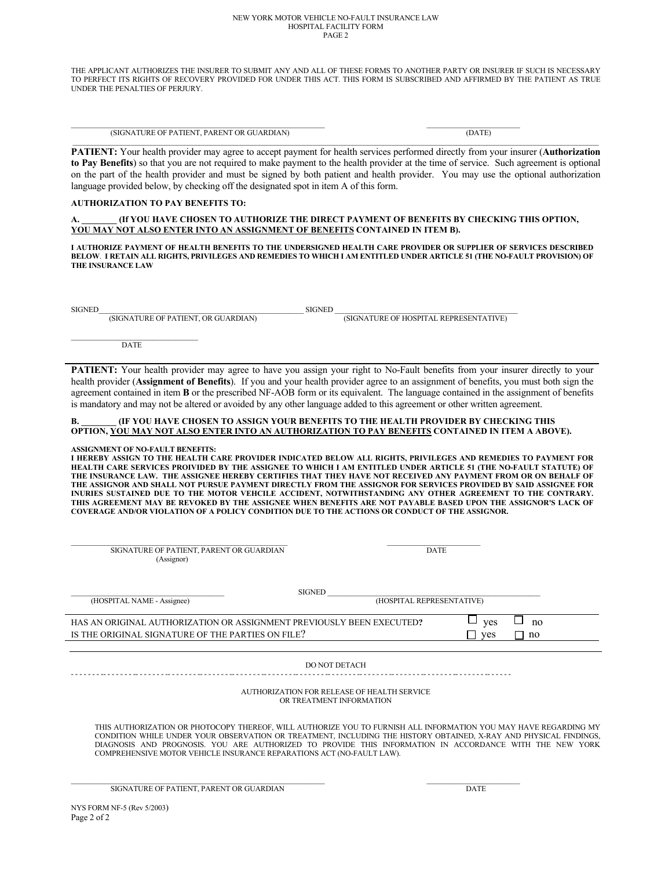#### NEW YORK MOTOR VEHICLE NO-FAULT INSURANCE LAW HOSPITAL FACILITY FORM PAGE 2

 THE APPLICANT AUTHORIZES THE INSURER TO SUBMIT ANY AND ALL OF THESE FORMS TO ANOTHER PARTY OR INSURER IF SUCH IS NECESSARY TO PERFECT ITS RIGHTS OF RECOVERY PROVIDED FOR UNDER THIS ACT. THIS FORM IS SUBSCRIBED AND AFFIRMED BY THE PATIENT AS TRUE UNDER THE PENALTIES OF PERJURY.

(SIGNATURE OF PATIENT, PARENT OR GUARDIAN) (DATE)

**PATIENT:** Your health provider may agree to accept payment for health services performed directly from your insurer (**Authorization to Pay Benefits**) so that you are not required to make payment to the health provider at the time of service. Such agreement is optional on the part of the health provider and must be signed by both patient and health provider. You may use the optional authorization language provided below, by checking off the designated spot in item A of this form.

 $\mathcal{L} = \{ \mathcal{L} = \{ \mathcal{L} = \{ \mathcal{L} = \{ \mathcal{L} = \{ \mathcal{L} = \{ \mathcal{L} = \{ \mathcal{L} = \{ \mathcal{L} = \{ \mathcal{L} = \{ \mathcal{L} = \{ \mathcal{L} = \{ \mathcal{L} = \{ \mathcal{L} = \{ \mathcal{L} = \{ \mathcal{L} = \{ \mathcal{L} = \{ \mathcal{L} = \{ \mathcal{L} = \{ \mathcal{L} = \{ \mathcal{L} = \{ \mathcal{L} = \{ \mathcal{L} = \{ \mathcal{L} = \{ \mathcal{$ 

## **AUTHORIZATION TO PAY BENEFITS TO:**

#### **(If YOU HAVE CHOSEN TO AUTHORIZE THE DIRECT PAYMENT OF BENEFITS BY CHECKING THIS OPTION, YOU MAY NOT ALSO ENTER INTO AN ASSIGNMENT OF BENEFITS CONTAINED IN ITEM B).**

 **BELOW**. **I RETAIN ALL RIGHTS, PRIVILEGES AND REMEDIES TO WHICH I AM ENTITLED UNDER ARTICLE 51 (THE NO-FAULT PROVISION) OF I AUTHORIZE PAYMENT OF HEALTH BENEFITS TO THE UNDERSIGNED HEALTH CARE PROVIDER OR SUPPLIER OF SERVICES DESCRIBED THE INSURANCE LAW** 

 $SISINED$  and  $SISNED$  and  $SISNED$  and  $SISNED$  and  $SISNED$  and  $SISNED$  and  $SISNED$  and  $SISNED$  and  $SISNED$  and  $SISNED$  and  $SISNED$  and  $SISNED$  and  $SISNED$  and  $SISNED$  and  $SISNED$  and  $SISNED$  and  $SISNED$  and  $SISNED$  and  $SISNED$  and  $SISNED$  and

(SIGNATURE OF PATIENT, OR GUARDIAN) (SIGNATURE OF HOSPITAL REPRESENTATIVE)

\_\_\_\_\_\_\_\_\_\_\_\_\_\_\_\_\_\_\_\_\_\_\_\_\_\_\_\_\_\_\_\_\_\_ DATE

**PATIENT:** Your health provider may agree to have you assign your right to No-Fault benefits from your insurer directly to your health provider (**Assignment of Benefits**). If you and your health provider agree to an assignment of benefits, you must both sign the agreement contained in item **B** or the prescribed NF-AOB form or its equivalent. The language contained in the assignment of benefits is mandatory and may not be altered or avoided by any other language added to this agreement or other written agreement.

## **GE YOU HAVE CHOSEN TO ASSIGN YOUR BENEFITS TO THE HEALTH PROVIDER BY CHECKING THIS OPTION, YOU MAY NOT ALSO ENTER INTO AN AUTHORIZATION TO PAY BENEFITS CONTAINED IN ITEM A ABOVE).**

#### **ASSIGNMENT OF NO-FAULT BENEFITS:**

**I HEREBY ASSIGN TO THE HEALTH CARE PROVIDER INDICATED BELOW ALL RIGHTS, PRIVILEGES AND REMEDIES TO PAYMENT FOR HEALTH CARE SERVICES PROIVIDED BY THE ASSIGNEE TO WHICH I AM ENTITLED UNDER ARTICLE 51 (THE NO-FAULT STATUTE) OF THE INSURANCE LAW. THE ASSIGNEE HEREBY CERTIFIES THAT THEY HAVE NOT RECEIVED ANY PAYMENT FROM OR ON BEHALF OF THE ASSIGNOR AND SHALL NOT PURSUE PAYMENT DIRECTLY FROM THE ASSIGNOR FOR SERVICES PROVIDED BY SAID ASSIGNEE FOR INURIES SUSTAINED DUE TO THE MOTOR VEHCILE ACCIDENT, NOTWITHSTANDING ANY OTHER AGREEMENT TO THE CONTRARY. THIS AGREEMENT MAY BE REVOKED BY THE ASSIGNEE WHEN BENEFITS ARE NOT PAYABLE BASED UPON THE ASSIGNOR'S LACK OF COVERAGE AND/OR VIOLATION OF A POLICY CONDITION DUE TO THE ACTIONS OR CONDUCT OF THE ASSIGNOR.** 

| SIGNATURE OF PATIENT, PARENT OR GUARDIAN<br>(Assignor)                                                                     | <b>DATE</b>                                                                                                                                                                                                                                                                                                                                      |
|----------------------------------------------------------------------------------------------------------------------------|--------------------------------------------------------------------------------------------------------------------------------------------------------------------------------------------------------------------------------------------------------------------------------------------------------------------------------------------------|
| <b>SIGNED</b><br>(HOSPITAL NAME - Assignee)                                                                                | (HOSPITAL REPRESENTATIVE)                                                                                                                                                                                                                                                                                                                        |
| HAS AN ORIGINAL AUTHORIZATION OR ASSIGNMENT PREVIOUSLY BEEN EXECUTED?<br>IS THE ORIGINAL SIGNATURE OF THE PARTIES ON FILE? | yes<br>no<br>yes<br>no                                                                                                                                                                                                                                                                                                                           |
|                                                                                                                            | DO NOT DETACH                                                                                                                                                                                                                                                                                                                                    |
|                                                                                                                            | AUTHORIZATION FOR RELEASE OF HEALTH SERVICE<br>OR TREATMENT INFORMATION                                                                                                                                                                                                                                                                          |
| COMPREHENSIVE MOTOR VEHICLE INSURANCE REPARATIONS ACT (NO-FAULT LAW).                                                      | THIS AUTHORIZATION OR PHOTOCOPY THEREOF, WILL AUTHORIZE YOU TO FURNISH ALL INFORMATION YOU MAY HAVE REGARDING MY<br>CONDITION WHILE UNDER YOUR OBSERVATION OR TREATMENT, INCLUDING THE HISTORY OBTAINED, X-RAY AND PHYSICAL FINDINGS,<br>DIAGNOSIS AND PROGNOSIS. YOU ARE AUTHORIZED TO PROVIDE THIS INFORMATION IN ACCORDANCE WITH THE NEW YORK |
|                                                                                                                            |                                                                                                                                                                                                                                                                                                                                                  |

SIGNATURE OF PATIENT, PARENT OR GUARDIAN DATE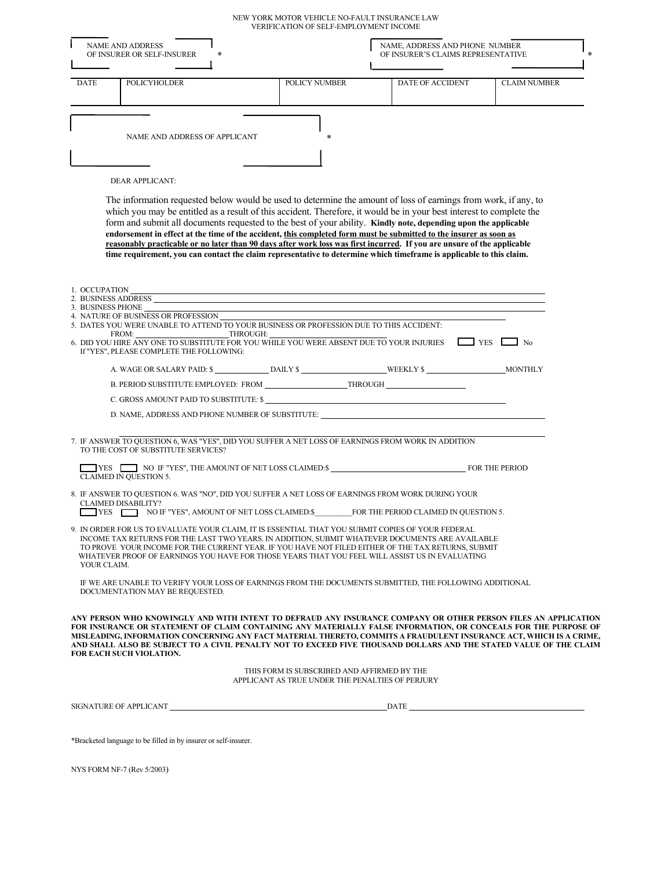# NEW YORK MOTOR VEHICLE NO-FAULT INSURANCE LAW

|                                    |                                                                                                                                                                                                                                                                                                                                                                                                                                                                                                                                                                                                                                                                                                                                     | VERIFICATION OF SELF-EMPLOYMENT INCOME                                                          |                                                                                |                     |  |  |
|------------------------------------|-------------------------------------------------------------------------------------------------------------------------------------------------------------------------------------------------------------------------------------------------------------------------------------------------------------------------------------------------------------------------------------------------------------------------------------------------------------------------------------------------------------------------------------------------------------------------------------------------------------------------------------------------------------------------------------------------------------------------------------|-------------------------------------------------------------------------------------------------|--------------------------------------------------------------------------------|---------------------|--|--|
|                                    | <b>NAME AND ADDRESS</b><br>OF INSURER OR SELF-INSURER                                                                                                                                                                                                                                                                                                                                                                                                                                                                                                                                                                                                                                                                               |                                                                                                 | NAME, ADDRESS AND PHONE NUMBER<br>$\ast$<br>OF INSURER'S CLAIMS REPRESENTATIVE |                     |  |  |
|                                    |                                                                                                                                                                                                                                                                                                                                                                                                                                                                                                                                                                                                                                                                                                                                     |                                                                                                 |                                                                                |                     |  |  |
| <b>DATE</b>                        | <b>POLICYHOLDER</b>                                                                                                                                                                                                                                                                                                                                                                                                                                                                                                                                                                                                                                                                                                                 | <b>POLICY NUMBER</b>                                                                            | DATE OF ACCIDENT                                                               | <b>CLAIM NUMBER</b> |  |  |
|                                    | NAME AND ADDRESS OF APPLICANT                                                                                                                                                                                                                                                                                                                                                                                                                                                                                                                                                                                                                                                                                                       |                                                                                                 |                                                                                |                     |  |  |
|                                    | <b>DEAR APPLICANT:</b>                                                                                                                                                                                                                                                                                                                                                                                                                                                                                                                                                                                                                                                                                                              |                                                                                                 |                                                                                |                     |  |  |
|                                    | The information requested below would be used to determine the amount of loss of earnings from work, if any, to<br>which you may be entitled as a result of this accident. Therefore, it would be in your best interest to complete the<br>form and submit all documents requested to the best of your ability. Kindly note, depending upon the applicable<br>endorsement in effect at the time of the accident, this completed form must be submitted to the insurer as soon as<br>reasonably practicable or no later than 90 days after work loss was first incurred. If you are unsure of the applicable<br>time requirement, you can contact the claim representative to determine which timeframe is applicable to this claim. |                                                                                                 |                                                                                |                     |  |  |
| 1. OCCUPATION<br>3. BUSINESS PHONE | 2. BUSINESS ADDRESS<br>4. NATURE OF BUSINESS OR PROFESSION<br>5. DATES YOU WERE UNABLE TO ATTEND TO YOUR BUSINESS OR PROFESSION DUE TO THIS ACCIDENT:<br>FROM:<br><b>THROUGH:</b><br>6. DID YOU HIRE ANY ONE TO SUBSTITUTE FOR YOU WHILE YOU WERE ABSENT DUE TO YOUR INJURIES EXPLOSIVE TO YOUR INJURIES<br>If "YES", PLEASE COMPLETE THE FOLLOWING:<br>B. PERIOD SUBSTITUTE EMPLOYED: FROM __________________THROUGH __________________<br>C. GROSS AMOUNT PAID TO SUBSTITUTE: \$<br>D. NAME, ADDRESS AND PHONE NUMBER OF SUBSTITUTE: ________________________________                                                                                                                                                             | <u> 1989 - Johann Stoff, fransk politik (d. 1989)</u>                                           |                                                                                |                     |  |  |
|                                    | 7. IF ANSWER TO QUESTION 6, WAS "YES", DID YOU SUFFER A NET LOSS OF EARNINGS FROM WORK IN ADDITION<br>TO THE COST OF SUBSTITUTE SERVICES?<br>YES NO IF "YES", THE AMOUNT OF NET LOSS CLAIMED:\$                                                                                                                                                                                                                                                                                                                                                                                                                                                                                                                                     |                                                                                                 |                                                                                |                     |  |  |
|                                    | CLAIMED IN QUESTION 5.<br>8. IF ANSWER TO QUESTION 6. WAS "NO", DID YOU SUFFER A NET LOSS OF EARNINGS FROM WORK DURING YOUR<br><b>CLAIMED DISABILITY?</b><br>YES NO IF "YES", AMOUNT OF NET LOSS CLAIMED: FOR THE PERIOD CLAIMED IN QUESTION 5.                                                                                                                                                                                                                                                                                                                                                                                                                                                                                     |                                                                                                 |                                                                                |                     |  |  |
| YOUR CLAIM.                        | 9. IN ORDER FOR US TO EVALUATE YOUR CLAIM, IT IS ESSENTIAL THAT YOU SUBMIT COPIES OF YOUR FEDERAL<br>INCOME TAX RETURNS FOR THE LAST TWO YEARS. IN ADDITION, SUBMIT WHATEVER DOCUMENTS ARE AVAILABLE<br>TO PROVE YOUR INCOME FOR THE CURRENT YEAR. IF YOU HAVE NOT FILED EITHER OF THE TAX RETURNS, SUBMIT<br>WHATEVER PROOF OF EARNINGS YOU HAVE FOR THOSE YEARS THAT YOU FEEL WILL ASSIST US IN EVALUATING<br>IF WE ARE UNABLE TO VERIFY YOUR LOSS OF EARNINGS FROM THE DOCUMENTS SUBMITTED, THE FOLLOWING ADDITIONAL<br>DOCUMENTATION MAY BE REQUESTED.                                                                                                                                                                          |                                                                                                 |                                                                                |                     |  |  |
|                                    | ANY PERSON WHO KNOWINGLY AND WITH INTENT TO DEFRAUD ANY INSURANCE COMPANY OR OTHER PERSON FILES AN APPLICATION<br>FOR INSURANCE OR STATEMENT OF CLAIM CONTAINING ANY MATERIALLY FALSE INFORMATION, OR CONCEALS FOR THE PURPOSE OF<br>MISLEADING, INFORMATION CONCERNING ANY FACT MATERIAL THERETO, COMMITS A FRAUDULENT INSURANCE ACT, WHICH IS A CRIME,<br>AND SHALL ALSO BE SUBJECT TO A CIVIL PENALTY NOT TO EXCEED FIVE THOUSAND DOLLARS AND THE STATED VALUE OF THE CLAIM<br>FOR EACH SUCH VIOLATION.                                                                                                                                                                                                                          |                                                                                                 |                                                                                |                     |  |  |
|                                    |                                                                                                                                                                                                                                                                                                                                                                                                                                                                                                                                                                                                                                                                                                                                     | THIS FORM IS SUBSCRIBED AND AFFIRMED BY THE<br>APPLICANT AS TRUE UNDER THE PENALTIES OF PERJURY |                                                                                |                     |  |  |
|                                    | SIGNATURE OF APPLICANT                                                                                                                                                                                                                                                                                                                                                                                                                                                                                                                                                                                                                                                                                                              |                                                                                                 | DATE                                                                           |                     |  |  |

\*Bracketed language to be filled in by insurer or self-insurer.

NYS FORM NF-7 (Rev 5/2003)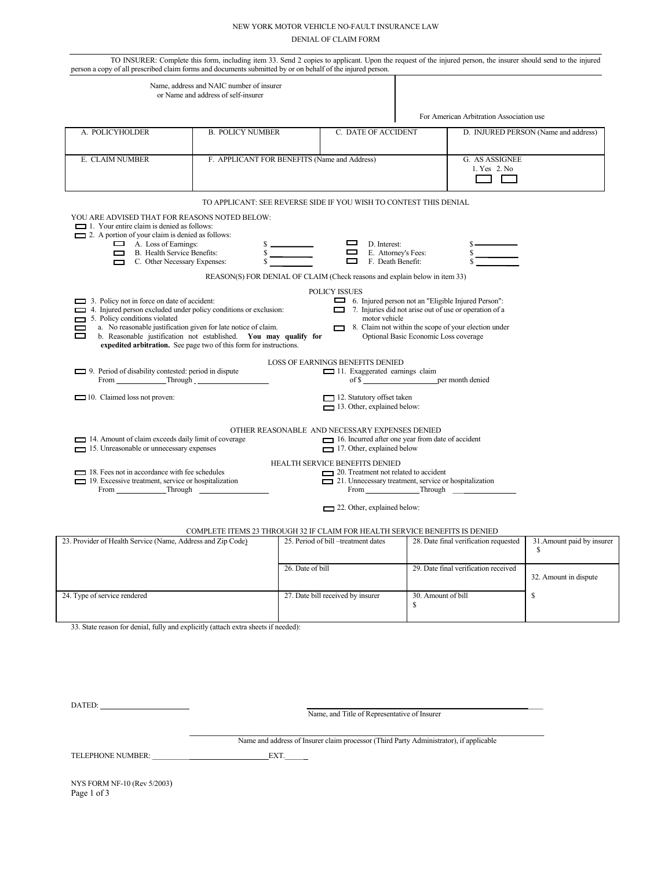## NEW YORK MOTOR VEHICLE NO-FAULT INSURANCE LAW DENIAL OF CLAIM FORM

| person a copy of all prescribed claim forms and documents submitted by or on behalf of the injured person.                                                                                                                                                                                                                                                                                                                                                                                                                                                                                                       | TO INSURER: Complete this form, including item 33. Send 2 copies to applicant. Upon the request of the injured person, the insurer should send to the injured |                  |                                                                                                                                                                                                                                                                              |                                |                                          |                                      |
|------------------------------------------------------------------------------------------------------------------------------------------------------------------------------------------------------------------------------------------------------------------------------------------------------------------------------------------------------------------------------------------------------------------------------------------------------------------------------------------------------------------------------------------------------------------------------------------------------------------|---------------------------------------------------------------------------------------------------------------------------------------------------------------|------------------|------------------------------------------------------------------------------------------------------------------------------------------------------------------------------------------------------------------------------------------------------------------------------|--------------------------------|------------------------------------------|--------------------------------------|
|                                                                                                                                                                                                                                                                                                                                                                                                                                                                                                                                                                                                                  | Name, address and NAIC number of insurer<br>or Name and address of self-insurer                                                                               |                  |                                                                                                                                                                                                                                                                              |                                |                                          |                                      |
|                                                                                                                                                                                                                                                                                                                                                                                                                                                                                                                                                                                                                  |                                                                                                                                                               |                  |                                                                                                                                                                                                                                                                              |                                | For American Arbitration Association use |                                      |
| A. POLICYHOLDER                                                                                                                                                                                                                                                                                                                                                                                                                                                                                                                                                                                                  | <b>B. POLICY NUMBER</b>                                                                                                                                       |                  | C. DATE OF ACCIDENT                                                                                                                                                                                                                                                          |                                |                                          | D. INJURED PERSON (Name and address) |
| E. CLAIM NUMBER<br>F. APPLICANT FOR BENEFITS (Name and Address)                                                                                                                                                                                                                                                                                                                                                                                                                                                                                                                                                  |                                                                                                                                                               |                  |                                                                                                                                                                                                                                                                              | G. AS ASSIGNEE<br>1. Yes 2. No |                                          |                                      |
|                                                                                                                                                                                                                                                                                                                                                                                                                                                                                                                                                                                                                  | TO APPLICANT: SEE REVERSE SIDE IF YOU WISH TO CONTEST THIS DENIAL                                                                                             |                  |                                                                                                                                                                                                                                                                              |                                |                                          |                                      |
| YOU ARE ADVISED THAT FOR REASONS NOTED BELOW:<br>1. Your entire claim is denied as follows:<br>$\Box$ 2. A portion of your claim is denied as follows:<br>A. Loss of Earnings:<br>B. Health Service Benefits:<br>C. Other Necessary Expenses:                                                                                                                                                                                                                                                                                                                                                                    |                                                                                                                                                               |                  | D. Interest:<br>E. Attorney's Fees:<br>F. Death Benefit:<br>REASON(S) FOR DENIAL OF CLAIM (Check reasons and explain below in item 33)                                                                                                                                       |                                |                                          |                                      |
|                                                                                                                                                                                                                                                                                                                                                                                                                                                                                                                                                                                                                  |                                                                                                                                                               |                  | <b>POLICY ISSUES</b>                                                                                                                                                                                                                                                         |                                |                                          |                                      |
| 6. Injured person not an "Eligible Injured Person":<br>3. Policy not in force on date of accident:<br>4. Injured person excluded under policy conditions or exclusion:<br>7. Injuries did not arise out of use or operation of a<br>$\Box$ 5. Policy conditions violated<br>motor vehicle<br>a. No reasonable justification given for late notice of claim.<br>8. Claim not within the scope of your election under<br>ᆮ<br>b. Reasonable justification not established. You may qualify for<br>Optional Basic Economic Loss coverage<br>ᆷ<br>expedited arbitration. See page two of this form for instructions. |                                                                                                                                                               |                  |                                                                                                                                                                                                                                                                              |                                |                                          |                                      |
| 9. Period of disability contested: period in dispute<br>From Through                                                                                                                                                                                                                                                                                                                                                                                                                                                                                                                                             |                                                                                                                                                               |                  | <b>LOSS OF EARNINGS BENEFITS DENIED</b><br>11. Exaggerated earnings claim                                                                                                                                                                                                    | of \$                          |                                          |                                      |
| 10. Claimed loss not proven:                                                                                                                                                                                                                                                                                                                                                                                                                                                                                                                                                                                     |                                                                                                                                                               |                  | 12. Statutory offset taken<br>$\Box$ 13. Other, explained below:                                                                                                                                                                                                             |                                |                                          |                                      |
| 14. Amount of claim exceeds daily limit of coverage<br>15. Unreasonable or unnecessary expenses<br>18. Fees not in accordance with fee schedules<br>19. Excessive treatment, service or hospitalization<br>From Through Through                                                                                                                                                                                                                                                                                                                                                                                  |                                                                                                                                                               |                  | OTHER REASONABLE AND NECESSARY EXPENSES DENIED<br>16. Incurred after one year from date of accident<br>$\Box$ 17. Other, explained below<br>HEALTH SERVICE BENEFITS DENIED<br>20. Treatment not related to accident<br>21. Unnecessary treatment, service or hospitalization |                                | From Through Through                     |                                      |
|                                                                                                                                                                                                                                                                                                                                                                                                                                                                                                                                                                                                                  |                                                                                                                                                               |                  | 22. Other, explained below:                                                                                                                                                                                                                                                  |                                |                                          |                                      |
|                                                                                                                                                                                                                                                                                                                                                                                                                                                                                                                                                                                                                  |                                                                                                                                                               |                  |                                                                                                                                                                                                                                                                              |                                |                                          |                                      |
| 23. Provider of Health Service (Name, Address and Zip Code)                                                                                                                                                                                                                                                                                                                                                                                                                                                                                                                                                      | COMPLETE ITEMS 23 THROUGH 32 IF CLAIM FOR HEALTH SERVICE BENEFITS IS DENIED                                                                                   |                  | 25. Period of bill-treatment dates                                                                                                                                                                                                                                           |                                | 28. Date final verification requested    | 31. Amount paid by insurer<br>\$     |
|                                                                                                                                                                                                                                                                                                                                                                                                                                                                                                                                                                                                                  |                                                                                                                                                               | 26. Date of bill |                                                                                                                                                                                                                                                                              |                                | 29. Date final verification received     | 32. Amount in dispute                |
| 24. Type of service rendered                                                                                                                                                                                                                                                                                                                                                                                                                                                                                                                                                                                     |                                                                                                                                                               |                  | 27. Date bill received by insurer                                                                                                                                                                                                                                            | 30. Amount of bill<br>\$       |                                          | \$                                   |
| 33. State reason for denial, fully and explicitly (attach extra sheets if needed):                                                                                                                                                                                                                                                                                                                                                                                                                                                                                                                               |                                                                                                                                                               |                  |                                                                                                                                                                                                                                                                              |                                |                                          |                                      |
|                                                                                                                                                                                                                                                                                                                                                                                                                                                                                                                                                                                                                  |                                                                                                                                                               |                  |                                                                                                                                                                                                                                                                              |                                |                                          |                                      |
| $\text{DATAED:}\n$<br>Name, and Title of Representative of Insurer                                                                                                                                                                                                                                                                                                                                                                                                                                                                                                                                               |                                                                                                                                                               |                  |                                                                                                                                                                                                                                                                              |                                |                                          |                                      |
|                                                                                                                                                                                                                                                                                                                                                                                                                                                                                                                                                                                                                  |                                                                                                                                                               |                  |                                                                                                                                                                                                                                                                              |                                |                                          |                                      |
|                                                                                                                                                                                                                                                                                                                                                                                                                                                                                                                                                                                                                  |                                                                                                                                                               | $EXT$ .          | Name and address of Insurer claim processor (Third Party Administrator), if applicable                                                                                                                                                                                       |                                |                                          |                                      |
|                                                                                                                                                                                                                                                                                                                                                                                                                                                                                                                                                                                                                  |                                                                                                                                                               |                  |                                                                                                                                                                                                                                                                              |                                |                                          |                                      |

NYS FORM NF-10 (Rev 5/2003) Page 1 of 3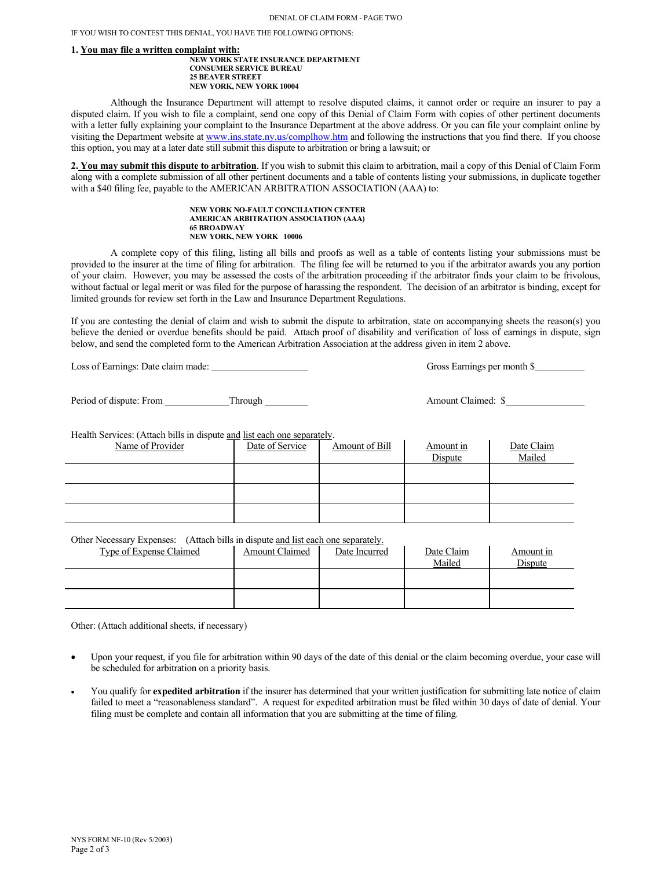IF YOU WISH TO CONTEST THIS DENIAL, YOU HAVE THE FOLLOWING OPTIONS:

#### **1. You may file a written complaint with:**

**NEW YORK STATE INSURANCE DEPARTMENT CONSUMER SERVICE BUREAU 25 BEAVER STREET NEW YORK, NEW YORK 10004** 

Although the Insurance Department will attempt to resolve disputed claims, it cannot order or require an insurer to pay a disputed claim. If you wish to file a complaint, send one copy of this Denial of Claim Form with copies of other pertinent documents with a letter fully explaining your complaint to the Insurance Department at the above address. Or you can file your complaint online by visiting the Department website at www.ins.state.ny.us/complhow.htm and following the instructions that you find there. If you choose this option, you may at a later date still submit this dispute to arbitration or bring a lawsuit; or

**2. You may submit this dispute to arbitration**. If you wish to submit this claim to arbitration, mail a copy of this Denial of Claim Form along with a complete submission of all other pertinent documents and a table of contents listing your submissions, in duplicate together with a \$40 filing fee, payable to the AMERICAN ARBITRATION ASSOCIATION (AAA) to:

#### **NEW YORK, NEW YORK 10006 NEW YORK NO-FAULT CONCILIATION CENTER AMERICAN ARBITRATION ASSOCIATION (AAA) 65 BROADWAY**

A complete copy of this filing, listing all bills and proofs as well as a table of contents listing your submissions must be provided to the insurer at the time of filing for arbitration. The filing fee will be returned to you if the arbitrator awards you any portion of your claim. However, you may be assessed the costs of the arbitration proceeding if the arbitrator finds your claim to be frivolous, without factual or legal merit or was filed for the purpose of harassing the respondent. The decision of an arbitrator is binding, except for limited grounds for review set forth in the Law and Insurance Department Regulations.

If you are contesting the denial of claim and wish to submit the dispute to arbitration, state on accompanying sheets the reason(s) you believe the denied or overdue benefits should be paid. Attach proof of disability and verification of loss of earnings in dispute, sign below, and send the completed form to the American Arbitration Association at the address given in item 2 above.

Loss of Earnings: Date claim made: Gross Earnings per month \$

Period of dispute: From Through Amount Claimed: \$

Health Services: (Attach bills in dispute and list each one separately.

| Name of Provider | Date of Service | Amount of Bill | Amount in<br>Dispute | Date Claim<br>Mailed |
|------------------|-----------------|----------------|----------------------|----------------------|
|                  |                 |                |                      |                      |
|                  |                 |                |                      |                      |
|                  |                 |                |                      |                      |

Other Necessary Expenses: (Attach bills in dispute and list each one separately.

| <b>Type of Expense Claimed</b> | <b>Amount Claimed</b> | Date Incurred | Date Claim<br>Mailed | Amount in<br><b>Dispute</b> |
|--------------------------------|-----------------------|---------------|----------------------|-----------------------------|
|                                |                       |               |                      |                             |
|                                |                       |               |                      |                             |

Other: (Attach additional sheets, if necessary)

- Upon your request, if you file for arbitration within 90 days of the date of this denial or the claim becoming overdue, your case will be scheduled for arbitration on a priority basis.
- You qualify for **expedited arbitration** if the insurer has determined that your written justification for submitting late notice of claim failed to meet a "reasonableness standard". A request for expedited arbitration must be filed within 30 days of date of denial. Your filing must be complete and contain all information that you are submitting at the time of filing.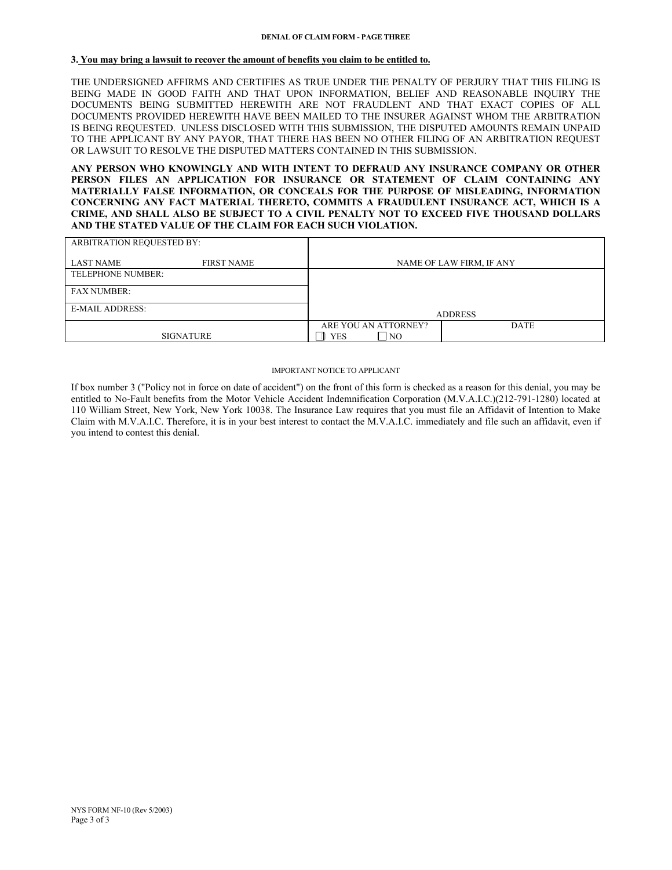## **3. You may bring a lawsuit to recover the amount of benefits you claim to be entitled to.**

THE UNDERSIGNED AFFIRMS AND CERTIFIES AS TRUE UNDER THE PENALTY OF PERJURY THAT THIS FILING IS BEING MADE IN GOOD FAITH AND THAT UPON INFORMATION, BELIEF AND REASONABLE INQUIRY THE DOCUMENTS BEING SUBMITTED HEREWITH ARE NOT FRAUDLENT AND THAT EXACT COPIES OF ALL DOCUMENTS PROVIDED HEREWITH HAVE BEEN MAILED TO THE INSURER AGAINST WHOM THE ARBITRATION IS BEING REQUESTED. UNLESS DISCLOSED WITH THIS SUBMISSION, THE DISPUTED AMOUNTS REMAIN UNPAID TO THE APPLICANT BY ANY PAYOR, THAT THERE HAS BEEN NO OTHER FILING OF AN ARBITRATION REQUEST OR LAWSUIT TO RESOLVE THE DISPUTED MATTERS CONTAINED IN THIS SUBMISSION.

**ANY PERSON WHO KNOWINGLY AND WITH INTENT TO DEFRAUD ANY INSURANCE COMPANY OR OTHER PERSON FILES AN APPLICATION FOR INSURANCE OR STATEMENT OF CLAIM CONTAINING ANY MATERIALLY FALSE INFORMATION, OR CONCEALS FOR THE PURPOSE OF MISLEADING, INFORMATION CONCERNING ANY FACT MATERIAL THERETO, COMMITS A FRAUDULENT INSURANCE ACT, WHICH IS A CRIME, AND SHALL ALSO BE SUBJECT TO A CIVIL PENALTY NOT TO EXCEED FIVE THOUSAND DOLLARS AND THE STATED VALUE OF THE CLAIM FOR EACH SUCH VIOLATION.** 

| <b>ARBITRATION REQUESTED BY:</b>      |                                                 |                          |
|---------------------------------------|-------------------------------------------------|--------------------------|
| <b>FIRST NAME</b><br><b>LAST NAME</b> |                                                 | NAME OF LAW FIRM, IF ANY |
| TELEPHONE NUMBER:                     |                                                 |                          |
| <b>FAX NUMBER:</b>                    |                                                 |                          |
| <b>E-MAIL ADDRESS:</b>                |                                                 | <b>ADDRESS</b>           |
| <b>SIGNATURE</b>                      | ARE YOU AN ATTORNEY?<br>$\Box$ NO<br><b>YES</b> | <b>DATE</b>              |

### IMPORTANT NOTICE TO APPLICANT

If box number 3 ("Policy not in force on date of accident") on the front of this form is checked as a reason for this denial, you may be entitled to No-Fault benefits from the Motor Vehicle Accident Indemnification Corporation (M.V.A.I.C.)(212-791-1280) located at 110 William Street, New York, New York 10038. The Insurance Law requires that you must file an Affidavit of Intention to Make Claim with M.V.A.I.C. Therefore, it is in your best interest to contact the M.V.A.I.C. immediately and file such an affidavit, even if you intend to contest this denial.